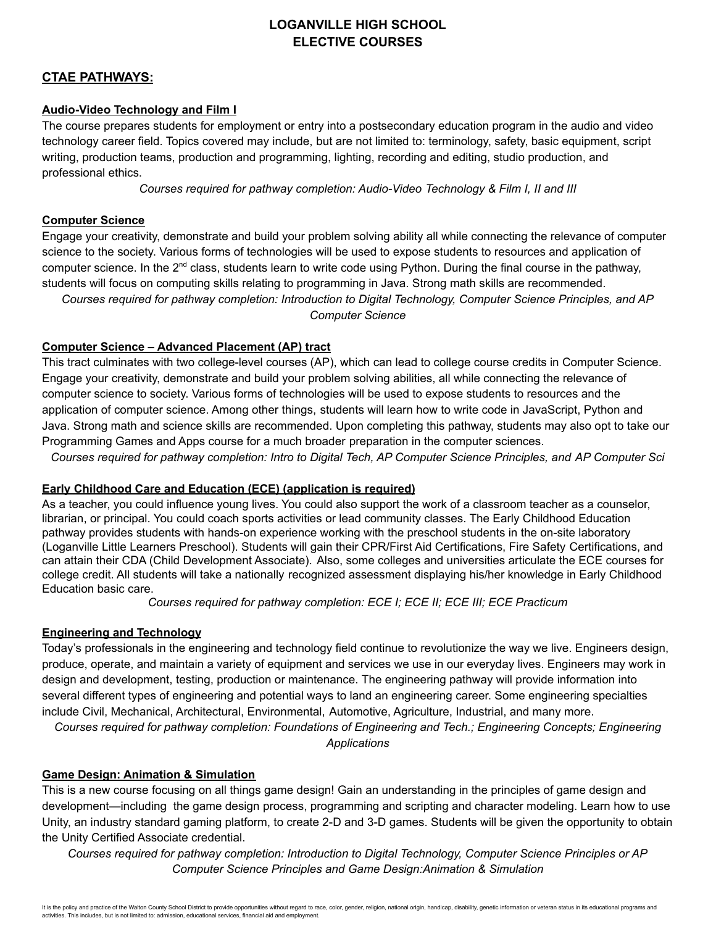# **LOGANVILLE HIGH SCHOOL ELECTIVE COURSES**

## **CTAE PATHWAYS:**

## **Audio-Video Technology and Film I**

The course prepares students for employment or entry into a postsecondary education program in the audio and video technology career field. Topics covered may include, but are not limited to: terminology, safety, basic equipment, script writing, production teams, production and programming, lighting, recording and editing, studio production, and professional ethics.

*Courses required for pathway completion: Audio-Video Technology & Film I, II and III*

## **Computer Science**

Engage your creativity, demonstrate and build your problem solving ability all while connecting the relevance of computer science to the society. Various forms of technologies will be used to expose students to resources and application of computer science. In the 2<sup>nd</sup> class, students learn to write code using Python. During the final course in the pathway, students will focus on computing skills relating to programming in Java. Strong math skills are recommended.

*Courses required for pathway completion: Introduction to Digital Technology, Computer Science Principles, and AP Computer Science*

## **Computer Science – Advanced Placement (AP) tract**

This tract culminates with two college-level courses (AP), which can lead to college course credits in Computer Science. Engage your creativity, demonstrate and build your problem solving abilities, all while connecting the relevance of computer science to society. Various forms of technologies will be used to expose students to resources and the application of computer science. Among other things, students will learn how to write code in JavaScript, Python and Java. Strong math and science skills are recommended. Upon completing this pathway, students may also opt to take our Programming Games and Apps course for a much broader preparation in the computer sciences.

Courses required for pathway completion: Intro to Digital Tech, AP Computer Science Principles, and AP Computer Sci

## **Early Childhood Care and Education (ECE) (application is required)**

As a teacher, you could influence young lives. You could also support the work of a classroom teacher as a counselor, librarian, or principal. You could coach sports activities or lead community classes. The Early Childhood Education pathway provides students with hands-on experience working with the preschool students in the on-site laboratory (Loganville Little Learners Preschool). Students will gain their CPR/First Aid Certifications, Fire Safety Certifications, and can attain their CDA (Child Development Associate). Also, some colleges and universities articulate the ECE courses for college credit. All students will take a nationally recognized assessment displaying his/her knowledge in Early Childhood Education basic care.

*Courses required for pathway completion: ECE I; ECE II; ECE III; ECE Practicum*

## **Engineering and Technology**

Today's professionals in the engineering and technology field continue to revolutionize the way we live. Engineers design, produce, operate, and maintain a variety of equipment and services we use in our everyday lives. Engineers may work in design and development, testing, production or maintenance. The engineering pathway will provide information into several different types of engineering and potential ways to land an engineering career. Some engineering specialties include Civil, Mechanical, Architectural, Environmental, Automotive, Agriculture, Industrial, and many more.

*Courses required for pathway completion: Foundations of Engineering and Tech.; Engineering Concepts; Engineering Applications*

## **Game Design: Animation & Simulation**

This is a new course focusing on all things game design! Gain an understanding in the principles of game design and development—including the game design process, programming and scripting and character modeling. Learn how to use Unity, an industry standard gaming platform, to create 2-D and 3-D games. Students will be given the opportunity to obtain the Unity Certified Associate credential.

*Courses required for pathway completion: Introduction to Digital Technology, Computer Science Principles or AP Computer Science Principles and Game Design:Animation & Simulation*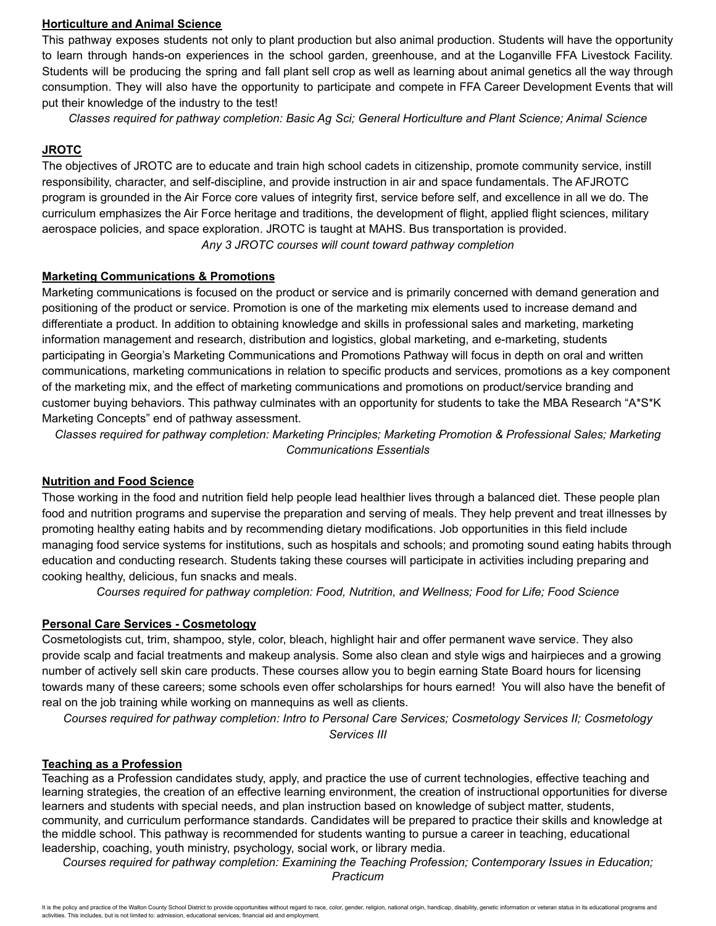#### **Horticulture and Animal Science**

This pathway exposes students not only to plant production but also animal production. Students will have the opportunity to learn through hands-on experiences in the school garden, greenhouse, and at the Loganville FFA Livestock Facility. Students will be producing the spring and fall plant sell crop as well as learning about animal genetics all the way through consumption. They will also have the opportunity to participate and compete in FFA Career Development Events that will put their knowledge of the industry to the test!

*Classes required for pathway completion: Basic Ag Sci; General Horticulture and Plant Science; Animal Science*

#### **JROTC**

The objectives of JROTC are to educate and train high school cadets in citizenship, promote community service, instill responsibility, character, and self-discipline, and provide instruction in air and space fundamentals. The AFJROTC program is grounded in the Air Force core values of integrity first, service before self, and excellence in all we do. The curriculum emphasizes the Air Force heritage and traditions, the development of flight, applied flight sciences, military aerospace policies, and space exploration. JROTC is taught at MAHS. Bus transportation is provided. *Any 3 JROTC courses will count toward pathway completion*

## **Marketing Communications & Promotions**

Marketing communications is focused on the product or service and is primarily concerned with demand generation and positioning of the product or service. Promotion is one of the marketing mix elements used to increase demand and differentiate a product. In addition to obtaining knowledge and skills in professional sales and marketing, marketing information management and research, distribution and logistics, global marketing, and e-marketing, students participating in Georgia's Marketing Communications and Promotions Pathway will focus in depth on oral and written communications, marketing communications in relation to specific products and services, promotions as a key component of the marketing mix, and the effect of marketing communications and promotions on product/service branding and customer buying behaviors. This pathway culminates with an opportunity for students to take the MBA Research "A\*S\*K Marketing Concepts" end of pathway assessment.

*Classes required for pathway completion: Marketing Principles; Marketing Promotion & Professional Sales; Marketing Communications Essentials*

## **Nutrition and Food Science**

Those working in the food and nutrition field help people lead healthier lives through a balanced diet. These people plan food and nutrition programs and supervise the preparation and serving of meals. They help prevent and treat illnesses by promoting healthy eating habits and by recommending dietary modifications. Job opportunities in this field include managing food service systems for institutions, such as hospitals and schools; and promoting sound eating habits through education and conducting research. Students taking these courses will participate in activities including preparing and cooking healthy, delicious, fun snacks and meals.

*Courses required for pathway completion: Food, Nutrition, and Wellness; Food for Life; Food Science*

## **Personal Care Services - Cosmetology**

Cosmetologists cut, trim, shampoo, style, color, bleach, highlight hair and offer permanent wave service. They also provide scalp and facial treatments and makeup analysis. Some also clean and style wigs and hairpieces and a growing number of actively sell skin care products. These courses allow you to begin earning State Board hours for licensing towards many of these careers; some schools even offer scholarships for hours earned! You will also have the benefit of real on the job training while working on mannequins as well as clients.

*Courses required for pathway completion: Intro to Personal Care Services; Cosmetology Services II; Cosmetology Services III*

#### **Teaching as a Profession**

Teaching as a Profession candidates study, apply, and practice the use of current technologies, effective teaching and learning strategies, the creation of an effective learning environment, the creation of instructional opportunities for diverse learners and students with special needs, and plan instruction based on knowledge of subject matter, students, community, and curriculum performance standards. Candidates will be prepared to practice their skills and knowledge at the middle school. This pathway is recommended for students wanting to pursue a career in teaching, educational leadership, coaching, youth ministry, psychology, social work, or library media.

*Courses required for pathway completion: Examining the Teaching Profession; Contemporary Issues in Education; Practicum*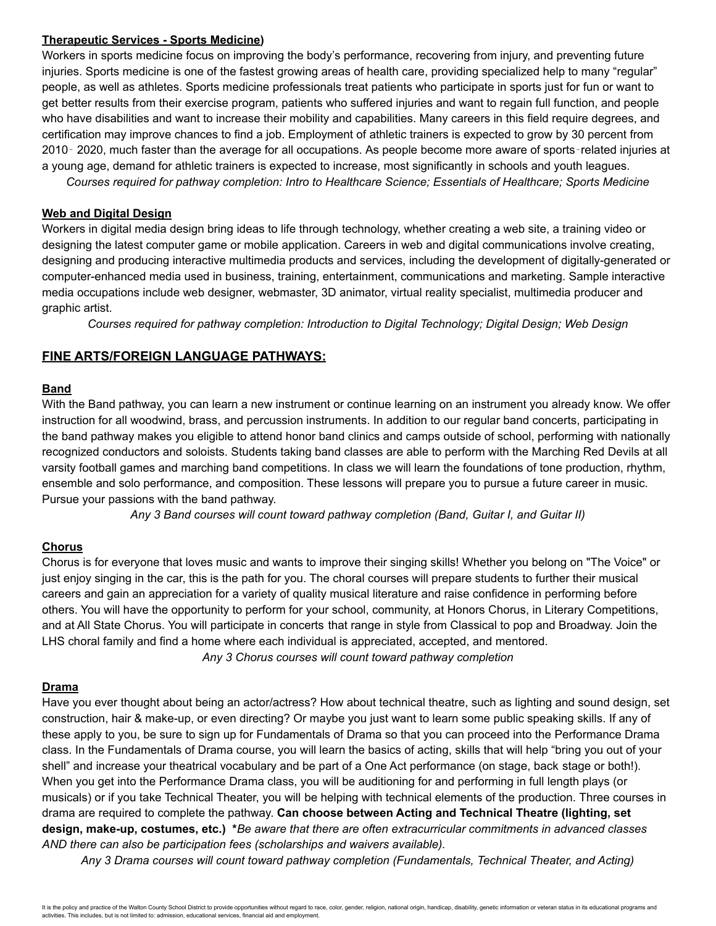#### **Therapeutic Services - Sports Medicine)**

Workers in sports medicine focus on improving the body's performance, recovering from injury, and preventing future injuries. Sports medicine is one of the fastest growing areas of health care, providing specialized help to many "regular" people, as well as athletes. Sports medicine professionals treat patients who participate in sports just for fun or want to get better results from their exercise program, patients who suffered injuries and want to regain full function, and people who have disabilities and want to increase their mobility and capabilities. Many careers in this field require degrees, and certification may improve chances to find a job. Employment of athletic trainers is expected to grow by 30 percent from 2010‐ 2020, much faster than the average for all occupations. As people become more aware of sports‐related injuries at a young age, demand for athletic trainers is expected to increase, most significantly in schools and youth leagues.

*Courses required for pathway completion: Intro to Healthcare Science; Essentials of Healthcare; Sports Medicine*

## **Web and Digital Design**

Workers in digital media design bring ideas to life through technology, whether creating a web site, a training video or designing the latest computer game or mobile application. Careers in web and digital communications involve creating, designing and producing interactive multimedia products and services, including the development of digitally-generated or computer-enhanced media used in business, training, entertainment, communications and marketing. Sample interactive media occupations include web designer, webmaster, 3D animator, virtual reality specialist, multimedia producer and graphic artist.

*Courses required for pathway completion: Introduction to Digital Technology; Digital Design; Web Design*

## **FINE ARTS/FOREIGN LANGUAGE PATHWAYS:**

#### **Band**

With the Band pathway, you can learn a new instrument or continue learning on an instrument you already know. We offer instruction for all woodwind, brass, and percussion instruments. In addition to our regular band concerts, participating in the band pathway makes you eligible to attend honor band clinics and camps outside of school, performing with nationally recognized conductors and soloists. Students taking band classes are able to perform with the Marching Red Devils at all varsity football games and marching band competitions. In class we will learn the foundations of tone production, rhythm, ensemble and solo performance, and composition. These lessons will prepare you to pursue a future career in music. Pursue your passions with the band pathway.

*Any 3 Band courses will count toward pathway completion (Band, Guitar I, and Guitar II)*

## **Chorus**

Chorus is for everyone that loves music and wants to improve their singing skills! Whether you belong on "The Voice" or just enjoy singing in the car, this is the path for you. The choral courses will prepare students to further their musical careers and gain an appreciation for a variety of quality musical literature and raise confidence in performing before others. You will have the opportunity to perform for your school, community, at Honors Chorus, in Literary Competitions, and at All State Chorus. You will participate in concerts that range in style from Classical to pop and Broadway. Join the LHS choral family and find a home where each individual is appreciated, accepted, and mentored.

*Any 3 Chorus courses will count toward pathway completion*

#### **Drama**

Have you ever thought about being an actor/actress? How about technical theatre, such as lighting and sound design, set construction, hair & make-up, or even directing? Or maybe you just want to learn some public speaking skills. If any of these apply to you, be sure to sign up for Fundamentals of Drama so that you can proceed into the Performance Drama class. In the Fundamentals of Drama course, you will learn the basics of acting, skills that will help "bring you out of your shell" and increase your theatrical vocabulary and be part of a One Act performance (on stage, back stage or both!). When you get into the Performance Drama class, you will be auditioning for and performing in full length plays (or musicals) or if you take Technical Theater, you will be helping with technical elements of the production. Three courses in drama are required to complete the pathway. **Can choose between Acting and Technical Theatre (lighting, set design, make-up, costumes, etc.) \****Be aware that there are often extracurricular commitments in advanced classes AND there can also be participation fees (scholarships and waivers available).*

*Any 3 Drama courses will count toward pathway completion (Fundamentals, Technical Theater, and Acting)*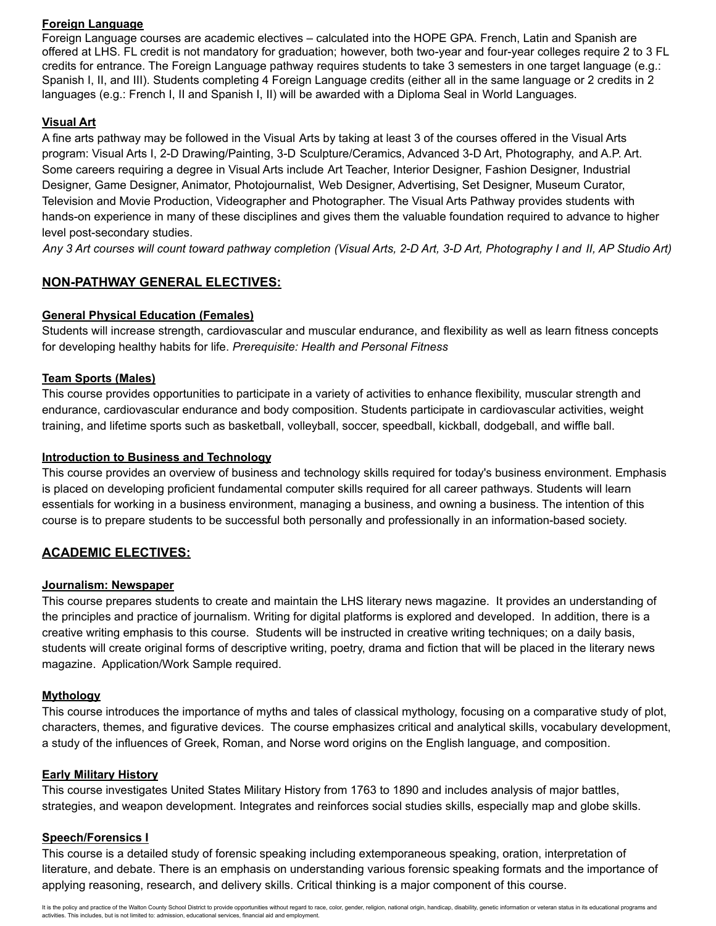## **Foreign Language**

Foreign Language courses are academic electives – calculated into the HOPE GPA. French, Latin and Spanish are offered at LHS. FL credit is not mandatory for graduation; however, both two-year and four-year colleges require 2 to 3 FL credits for entrance. The Foreign Language pathway requires students to take 3 semesters in one target language (e.g.: Spanish I, II, and III). Students completing 4 Foreign Language credits (either all in the same language or 2 credits in 2 languages (e.g.: French I, II and Spanish I, II) will be awarded with a Diploma Seal in World Languages.

## **Visual Art**

A fine arts pathway may be followed in the Visual Arts by taking at least 3 of the courses offered in the Visual Arts program: Visual Arts I, 2-D Drawing/Painting, 3-D Sculpture/Ceramics, Advanced 3-D Art, Photography, and A.P. Art. Some careers requiring a degree in Visual Arts include Art Teacher, Interior Designer, Fashion Designer, Industrial Designer, Game Designer, Animator, Photojournalist, Web Designer, Advertising, Set Designer, Museum Curator, Television and Movie Production, Videographer and Photographer. The Visual Arts Pathway provides students with hands-on experience in many of these disciplines and gives them the valuable foundation required to advance to higher level post-secondary studies.

Any 3 Art courses will count toward pathway completion (Visual Arts, 2-D Art, 3-D Art, Photography I and II, AP Studio Art)

# **NON-PATHWAY GENERAL ELECTIVES:**

## **General Physical Education (Females)**

Students will increase strength, cardiovascular and muscular endurance, and flexibility as well as learn fitness concepts for developing healthy habits for life. *Prerequisite: Health and Personal Fitness*

## **Team Sports (Males)**

This course provides opportunities to participate in a variety of activities to enhance flexibility, muscular strength and endurance, cardiovascular endurance and body composition. Students participate in cardiovascular activities, weight training, and lifetime sports such as basketball, volleyball, soccer, speedball, kickball, dodgeball, and wiffle ball.

## **Introduction to Business and Technology**

This course provides an overview of business and technology skills required for today's business environment. Emphasis is placed on developing proficient fundamental computer skills required for all career pathways. Students will learn essentials for working in a business environment, managing a business, and owning a business. The intention of this course is to prepare students to be successful both personally and professionally in an information-based society.

# **ACADEMIC ELECTIVES:**

## **Journalism: Newspaper**

This course prepares students to create and maintain the LHS literary news magazine. It provides an understanding of the principles and practice of journalism. Writing for digital platforms is explored and developed. In addition, there is a creative writing emphasis to this course. Students will be instructed in creative writing techniques; on a daily basis, students will create original forms of descriptive writing, poetry, drama and fiction that will be placed in the literary news magazine. Application/Work Sample required.

## **Mythology**

This course introduces the importance of myths and tales of classical mythology, focusing on a comparative study of plot, characters, themes, and figurative devices. The course emphasizes critical and analytical skills, vocabulary development, a study of the influences of Greek, Roman, and Norse word origins on the English language, and composition.

## **Early Military History**

This course investigates United States Military History from 1763 to 1890 and includes analysis of major battles, strategies, and weapon development. Integrates and reinforces social studies skills, especially map and globe skills.

## **Speech/Forensics I**

This course is a detailed study of forensic speaking including extemporaneous speaking, oration, interpretation of literature, and debate. There is an emphasis on understanding various forensic speaking formats and the importance of applying reasoning, research, and delivery skills. Critical thinking is a major component of this course.

It is the policy and practice of the Walton County School District to provide opportunities without regard to race, color, gender, religion, national origin, handicap, disability, genetic information or veteran status in i activities. This includes, but is not limited to: admission, educational services, financial aid and employment.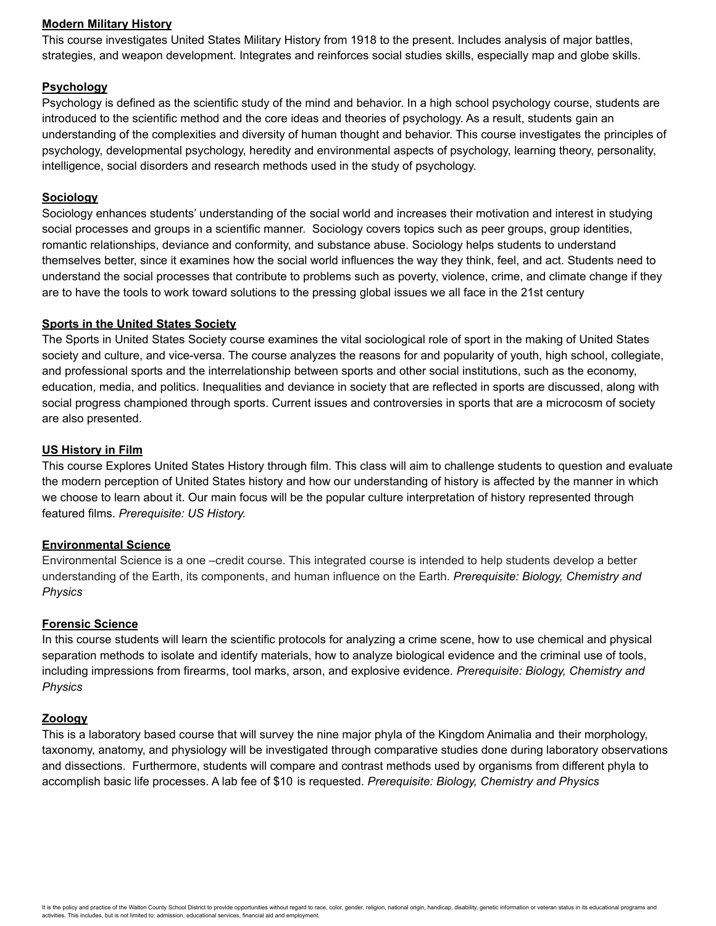#### **Modern Military History**

This course investigates United States Military History from 1918 to the present. Includes analysis of major battles, strategies, and weapon development. Integrates and reinforces social studies skills, especially map and globe skills.

## **Psychology**

Psychology is defined as the scientific study of the mind and behavior. In a high school psychology course, students are introduced to the scientific method and the core ideas and theories of psychology. As a result, students gain an understanding of the complexities and diversity of human thought and behavior. This course investigates the principles of psychology, developmental psychology, heredity and environmental aspects of psychology, learning theory, personality, intelligence, social disorders and research methods used in the study of psychology.

#### **Sociology**

Sociology enhances students' understanding of the social world and increases their motivation and interest in studying social processes and groups in a scientific manner. Sociology covers topics such as peer groups, group identities, romantic relationships, deviance and conformity, and substance abuse. Sociology helps students to understand themselves better, since it examines how the social world influences the way they think, feel, and act. Students need to understand the social processes that contribute to problems such as poverty, violence, crime, and climate change if they are to have the tools to work toward solutions to the pressing global issues we all face in the 21st century

#### **Sports in the United States Society**

The Sports in United States Society course examines the vital sociological role of sport in the making of United States society and culture, and vice-versa. The course analyzes the reasons for and popularity of youth, high school, collegiate, and professional sports and the interrelationship between sports and other social institutions, such as the economy, education, media, and politics. Inequalities and deviance in society that are reflected in sports are discussed, along with social progress championed through sports. Current issues and controversies in sports that are a microcosm of society are also presented.

#### **US History in Film**

This course Explores United States History through film. This class will aim to challenge students to question and evaluate the modern perception of United States history and how our understanding of history is affected by the manner in which we choose to learn about it. Our main focus will be the popular culture interpretation of history represented through featured films. *Prerequisite: US History.*

#### **Environmental Science**

Environmental Science is a one –credit course. This integrated course is intended to help students develop a better understanding of the Earth, its components, and human influence on the Earth. *Prerequisite: Biology, Chemistry and Physics*

#### **Forensic Science**

In this course students will learn the scientific protocols for analyzing a crime scene, how to use chemical and physical separation methods to isolate and identify materials, how to analyze biological evidence and the criminal use of tools, including impressions from firearms, tool marks, arson, and explosive evidence. *Prerequisite: Biology, Chemistry and Physics*

#### **Zoology**

This is a laboratory based course that will survey the nine major phyla of the Kingdom Animalia and their morphology, taxonomy, anatomy, and physiology will be investigated through comparative studies done during laboratory observations and dissections. Furthermore, students will compare and contrast methods used by organisms from different phyla to accomplish basic life processes. A lab fee of \$10 is requested. *Prerequisite: Biology, Chemistry and Physics*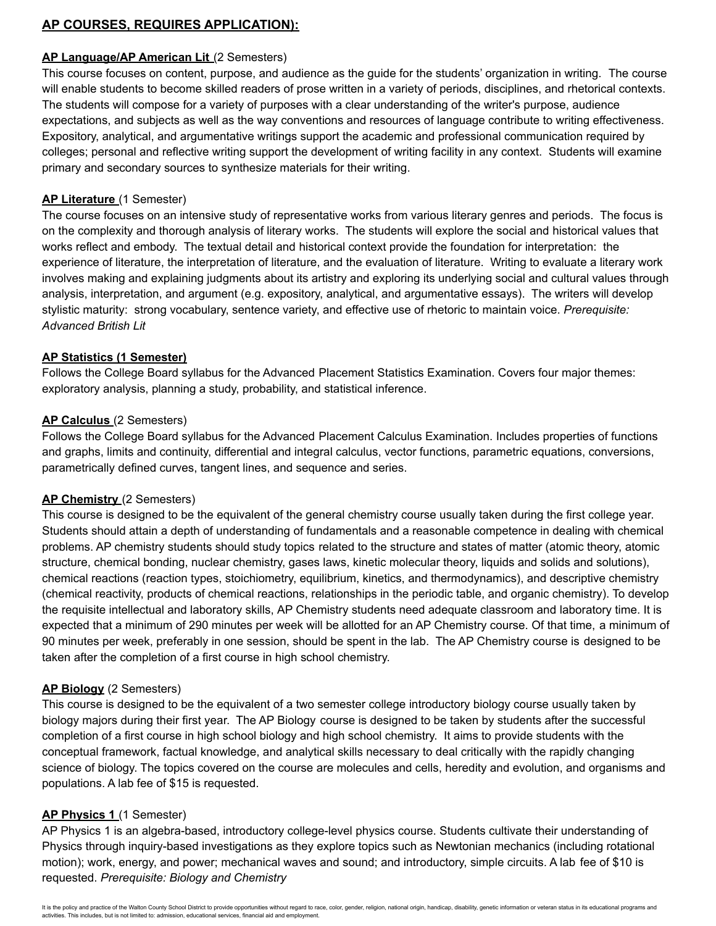# **AP COURSES, REQUIRES APPLICATION):**

## **AP Language/AP American Lit** (2 Semesters)

This course focuses on content, purpose, and audience as the guide for the students' organization in writing. The course will enable students to become skilled readers of prose written in a variety of periods, disciplines, and rhetorical contexts. The students will compose for a variety of purposes with a clear understanding of the writer's purpose, audience expectations, and subjects as well as the way conventions and resources of language contribute to writing effectiveness. Expository, analytical, and argumentative writings support the academic and professional communication required by colleges; personal and reflective writing support the development of writing facility in any context. Students will examine primary and secondary sources to synthesize materials for their writing.

#### **AP Literature** (1 Semester)

The course focuses on an intensive study of representative works from various literary genres and periods. The focus is on the complexity and thorough analysis of literary works. The students will explore the social and historical values that works reflect and embody. The textual detail and historical context provide the foundation for interpretation: the experience of literature, the interpretation of literature, and the evaluation of literature. Writing to evaluate a literary work involves making and explaining judgments about its artistry and exploring its underlying social and cultural values through analysis, interpretation, and argument (e.g. expository, analytical, and argumentative essays). The writers will develop stylistic maturity: strong vocabulary, sentence variety, and effective use of rhetoric to maintain voice. *Prerequisite: Advanced British Lit*

#### **AP Statistics (1 Semester)**

Follows the College Board syllabus for the Advanced Placement Statistics Examination. Covers four major themes: exploratory analysis, planning a study, probability, and statistical inference.

#### **AP Calculus** (2 Semesters)

Follows the College Board syllabus for the Advanced Placement Calculus Examination. Includes properties of functions and graphs, limits and continuity, differential and integral calculus, vector functions, parametric equations, conversions, parametrically defined curves, tangent lines, and sequence and series.

#### **AP Chemistry** (2 Semesters)

This course is designed to be the equivalent of the general chemistry course usually taken during the first college year. Students should attain a depth of understanding of fundamentals and a reasonable competence in dealing with chemical problems. AP chemistry students should study topics related to the structure and states of matter (atomic theory, atomic structure, chemical bonding, nuclear chemistry, gases laws, kinetic molecular theory, liquids and solids and solutions), chemical reactions (reaction types, stoichiometry, equilibrium, kinetics, and thermodynamics), and descriptive chemistry (chemical reactivity, products of chemical reactions, relationships in the periodic table, and organic chemistry). To develop the requisite intellectual and laboratory skills, AP Chemistry students need adequate classroom and laboratory time. It is expected that a minimum of 290 minutes per week will be allotted for an AP Chemistry course. Of that time, a minimum of 90 minutes per week, preferably in one session, should be spent in the lab. The AP Chemistry course is designed to be taken after the completion of a first course in high school chemistry.

## **AP Biology** (2 Semesters)

This course is designed to be the equivalent of a two semester college introductory biology course usually taken by biology majors during their first year. The AP Biology course is designed to be taken by students after the successful completion of a first course in high school biology and high school chemistry. It aims to provide students with the conceptual framework, factual knowledge, and analytical skills necessary to deal critically with the rapidly changing science of biology. The topics covered on the course are molecules and cells, heredity and evolution, and organisms and populations. A lab fee of \$15 is requested.

## **AP Physics 1** (1 Semester)

AP Physics 1 is an algebra-based, introductory college-level physics course. Students cultivate their understanding of Physics through inquiry-based investigations as they explore topics such as Newtonian mechanics (including rotational motion); work, energy, and power; mechanical waves and sound; and introductory, simple circuits. A lab fee of \$10 is requested. *Prerequisite: Biology and Chemistry*